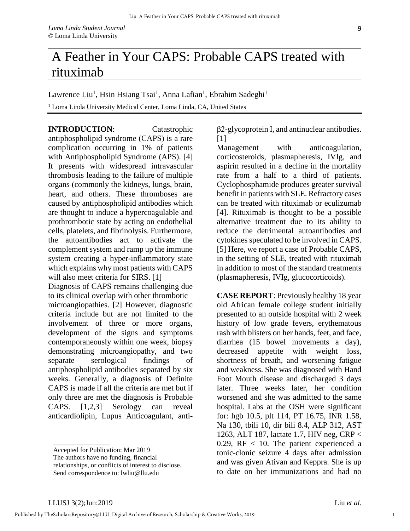## A Feather in Your CAPS: Probable CAPS treated with rituximab

Lawrence Liu<sup>1</sup>, Hsin Hsiang Tsai<sup>1</sup>, Anna Lafian<sup>1</sup>, Ebrahim Sadeghi<sup>1</sup>

<sup>1</sup> Loma Linda University Medical Center, Loma Linda, CA, United States

**INTRODUCTION**: Catastrophic antiphospholipid syndrome (CAPS) is a rare complication occurring in 1% of patients with Antiphospholipid Syndrome (APS). [4] It presents with widespread intravascular thrombosis leading to the failure of multiple organs (commonly the kidneys, lungs, brain, heart, and others. These thromboses are caused by antiphospholipid antibodies which are thought to induce a hypercoagulable and prothrombotic state by acting on endothelial cells, platelets, and fibrinolysis. Furthermore, the autoantibodies act to activate the complement system and ramp up the immune system creating a hyper-inflammatory state which explains why most patients with CAPS will also meet criteria for SIRS. [1]

Diagnosis of CAPS remains challenging due to its clinical overlap with other thrombotic microangiopathies. [2] However, diagnostic criteria include but are not limited to the involvement of three or more organs, development of the signs and symptoms contemporaneously within one week, biopsy demonstrating microangiopathy, and two separate serological findings of antiphospholipid antibodies separated by six weeks. Generally, a diagnosis of Definite CAPS is made if all the criteria are met but if only three are met the diagnosis is Probable CAPS. [1,2,3] Serology can reveal anticardiolipin, Lupus Anticoagulant, anti-

The authors have no funding, financial

relationships, or conflicts of interest to disclose. Send correspondence to: lwliu@llu.edu

β2-glycoprotein I, and antinuclear antibodies.  $[1]$ 

Management with anticoagulation, corticosteroids, plasmapheresis, IVIg, and aspirin resulted in a decline in the mortality rate from a half to a third of patients. Cyclophosphamide produces greater survival benefit in patients with SLE. Refractory cases can be treated with rituximab or eculizumab [4]. Rituximab is thought to be a possible alternative treatment due to its ability to reduce the detrimental autoantibodies and cytokines speculated to be involved in CAPS. [5] Here, we report a case of Probable CAPS, in the setting of SLE, treated with rituximab in addition to most of the standard treatments (plasmapheresis, IVIg, glucocorticoids).

**CASE REPORT**: Previously healthy 18 year old African female college student initially presented to an outside hospital with 2 week history of low grade fevers, erythematous rash with blisters on her hands, feet, and face, diarrhea (15 bowel movements a day), decreased appetite with weight loss, shortness of breath, and worsening fatigue and weakness. She was diagnosed with Hand Foot Mouth disease and discharged 3 days later. Three weeks later, her condition worsened and she was admitted to the same hospital. Labs at the OSH were significant for: hgb 10.5, plt 114, PT 16.75, INR 1.58, Na 130, tbili 10, dir bili 8.4, ALP 312, AST 1263, ALT 187, lactate 1.7, HIV neg, CRP < 0.29,  $RF < 10$ . The patient experienced a tonic-clonic seizure 4 days after admission and was given Ativan and Keppra. She is up to date on her immunizations and had no

\_\_\_\_\_\_\_\_\_\_\_\_\_\_\_\_\_

1

Accepted for Publication: Mar 2019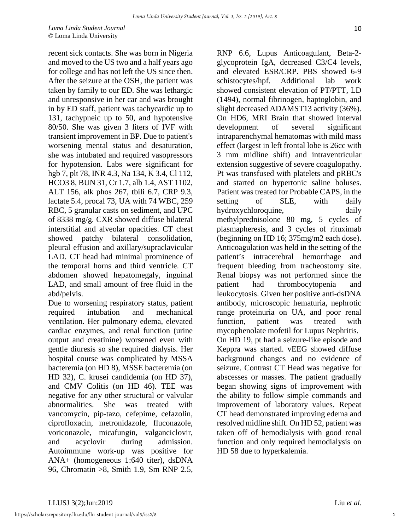*Loma Linda Student Journal* © Loma Linda University

recent sick contacts. She was born in Nigeria and moved to the US two and a half years ago for college and has not left the US since then. After the seizure at the OSH, the patient was taken by family to our ED. She was lethargic and unresponsive in her car and was brought in by ED staff, patient was tachycardic up to 131, tachypneic up to 50, and hypotensive 80/50. She was given 3 liters of IVF with transient improvement in BP. Due to patient's worsening mental status and desaturation, she was intubated and required vasopressors for hypotension. Labs were significant for hgb 7, plt 78, INR 4.3, Na 134, K 3.4, Cl 112, HCO3 8, BUN 31, Cr 1.7, alb 1.4, AST 1102, ALT 156, alk phos 267, tbili 6.7, CRP 9.3, lactate 5.4, procal 73, UA with 74 WBC, 259 RBC, 5 granular casts on sediment, and UPC of 8338 mg/g. CXR showed diffuse bilateral interstitial and alveolar opacities. CT chest showed patchy bilateral consolidation, pleural effusion and axillary/supraclavicular LAD. CT head had minimal prominence of the temporal horns and third ventricle. CT abdomen showed hepatomegaly, inguinal LAD, and small amount of free fluid in the abd/pelvis.

Due to worsening respiratory status, patient required intubation and mechanical ventilation. Her pulmonary edema, elevated cardiac enzymes, and renal function (urine output and creatinine) worsened even with gentle diuresis so she required dialysis. Her hospital course was complicated by MSSA bacteremia (on HD 8), MSSE bacteremia (on HD 32), C. krusei candidemia (on HD 37), and CMV Colitis (on HD 46). TEE was negative for any other structural or valvular abnormalities. She was treated with vancomycin, pip-tazo, cefepime, cefazolin, ciprofloxacin, metronidazole, fluconazole, voriconazole, micafungin, valganciclovir, and acyclovir during admission. Autoimmune work-up was positive for ANA+ (homogeneous 1:640 titer), dsDNA 96, Chromatin >8, Smith 1.9, Sm RNP 2.5,

RNP 6.6, Lupus Anticoagulant, Beta-2 glycoprotein IgA, decreased C3/C4 levels, and elevated ESR/CRP. PBS showed 6-9 schistocytes/hpf. Additional lab work showed consistent elevation of PT/PTT, LD (1494), normal fibrinogen, haptoglobin, and slight decreased ADAMST13 activity (36%). On HD6, MRI Brain that showed interval development of several significant intraparenchymal hematomas with mild mass effect (largest in left frontal lobe is 26cc with 3 mm midline shift) and intraventricular extension suggestive of severe coagulopathy. Pt was transfused with platelets and pRBC's and started on hypertonic saline boluses. Patient was treated for Probable CAPS, in the setting of SLE, with daily hydroxychloroquine, daily methylprednisolone 80 mg, 5 cycles of plasmapheresis, and 3 cycles of rituximab (beginning on HD 16; 375mg/m2 each dose). Anticoagulation was held in the setting of the patient's intracerebral hemorrhage and frequent bleeding from tracheostomy site. Renal biopsy was not performed since the patient had thrombocytopenia and leukocytosis. Given her positive anti-dsDNA antibody, microscopic hematuria, nephrotic range proteinuria on UA, and poor renal function, patient was treated with mycophenolate mofetil for Lupus Nephritis. On HD 19, pt had a seizure-like episode and Keppra was started. vEEG showed diffuse background changes and no evidence of seizure. Contrast CT Head was negative for abscesses or masses. The patient gradually began showing signs of improvement with the ability to follow simple commands and improvement of laboratory values. Repeat CT head demonstrated improving edema and resolved midline shift. On HD 52, patient was taken off of hemodialysis with good renal function and only required hemodialysis on HD 58 due to hyperkalemia.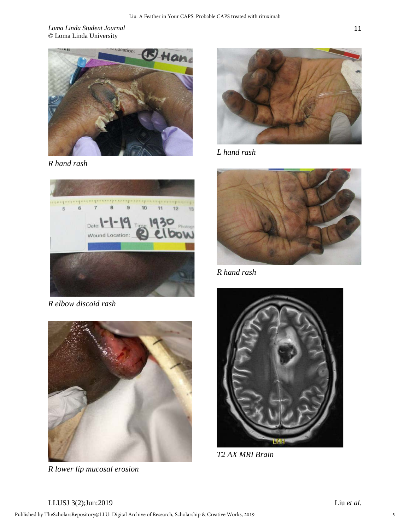*Loma Linda Student Journal* © Loma Linda University



*R hand rash* 



*R elbow discoid rash* 



*R lower lip mucosal erosion* 



*L hand rash* 



*R hand rash* 



*T2 AX MRI Brain*

11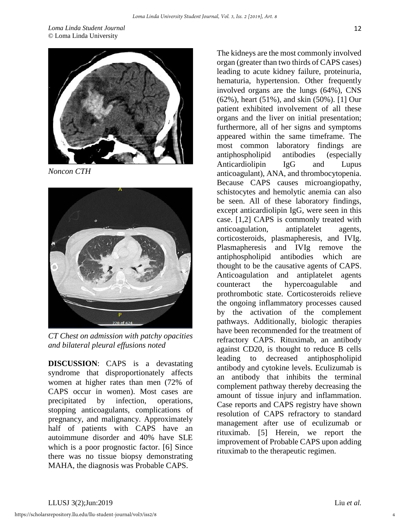*Loma Linda Student Journal* © Loma Linda University



*Noncon CTH* 



*CT Chest on admission with patchy opacities and bilateral pleural effusions noted* 

**DISCUSSION**: CAPS is a devastating syndrome that disproportionately affects women at higher rates than men (72% of CAPS occur in women). Most cases are precipitated by infection, operations, stopping anticoagulants, complications of pregnancy, and malignancy. Approximately half of patients with CAPS have an autoimmune disorder and 40% have SLE which is a poor prognostic factor. [6] Since there was no tissue biopsy demonstrating MAHA, the diagnosis was Probable CAPS.

The kidneys are the most commonly involved organ (greater than two thirds of CAPS cases) leading to acute kidney failure, proteinuria, hematuria, hypertension. Other frequently involved organs are the lungs (64%), CNS (62%), heart (51%), and skin (50%). [1] Our patient exhibited involvement of all these organs and the liver on initial presentation; furthermore, all of her signs and symptoms appeared within the same timeframe. The most common laboratory findings are antiphospholipid antibodies (especially Anticardiolipin IgG and Lupus anticoagulant), ANA, and thrombocytopenia. Because CAPS causes microangiopathy, schistocytes and hemolytic anemia can also be seen. All of these laboratory findings, except anticardiolipin IgG, were seen in this case. [1,2] CAPS is commonly treated with anticoagulation, antiplatelet agents, corticosteroids, plasmapheresis, and IVIg. Plasmapheresis and IVIg remove the antiphospholipid antibodies which are thought to be the causative agents of CAPS. Anticoagulation and antiplatelet agents counteract the hypercoagulable and prothrombotic state. Corticosteroids relieve the ongoing inflammatory processes caused by the activation of the complement pathways. Additionally, biologic therapies have been recommended for the treatment of refractory CAPS. Rituximab, an antibody against CD20, is thought to reduce B cells leading to decreased antiphospholipid antibody and cytokine levels. Eculizumab is an antibody that inhibits the terminal complement pathway thereby decreasing the amount of tissue injury and inflammation. Case reports and CAPS registry have shown resolution of CAPS refractory to standard management after use of eculizumab or rituximab. [5] Herein, we report the improvement of Probable CAPS upon adding rituximab to the therapeutic regimen.

4